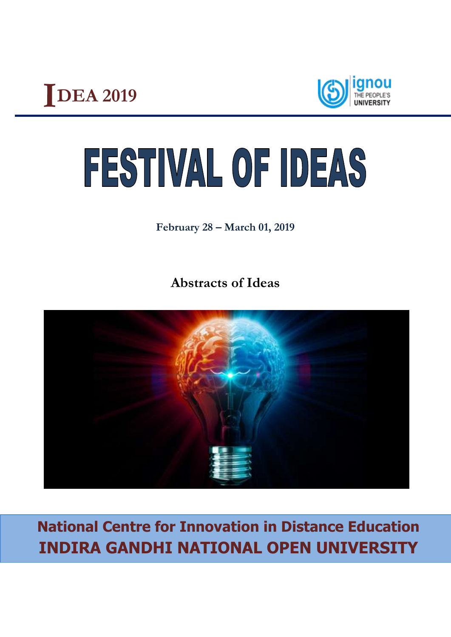



# FESTIVAL OF IDEAS

**February 28 – March 01, 2019**

**Abstracts of Ideas**



**National Centre for Innovation in Distance Education INDIRA GANDHI NATIONAL OPEN UNIVERSITY**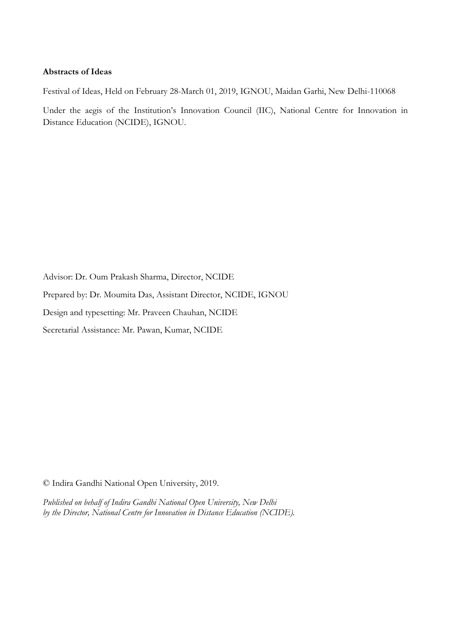#### **Abstracts of Ideas**

Festival of Ideas, Held on February 28-March 01, 2019, IGNOU, Maidan Garhi, New Delhi-110068

Under the aegis of the Institution's Innovation Council (IIC), National Centre for Innovation in Distance Education (NCIDE), IGNOU.

Advisor: Dr. Oum Prakash Sharma, Director, NCIDE Prepared by: Dr. Moumita Das, Assistant Director, NCIDE, IGNOU Design and typesetting: Mr. Praveen Chauhan, NCIDE

Secretarial Assistance: Mr. Pawan, Kumar, NCIDE

© Indira Gandhi National Open University, 2019.

*Published on behalf of Indira Gandhi National Open University, New Delhi by the Director, National Centre for Innovation in Distance Education (NCIDE).*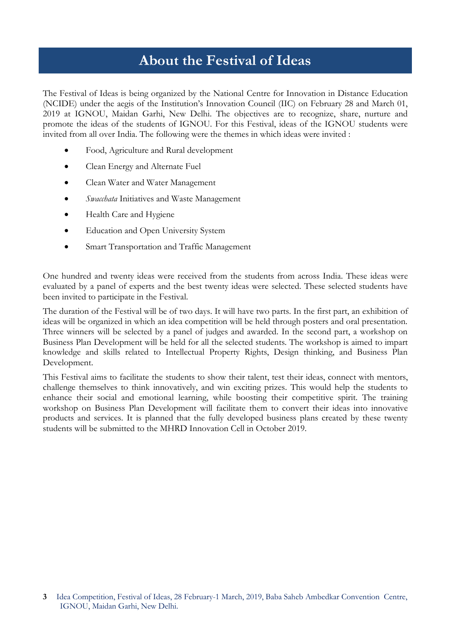# **About the Festival of Ideas**

The Festival of Ideas is being organized by the National Centre for Innovation in Distance Education (NCIDE) under the aegis of the Institution's Innovation Council (IIC) on February 28 and March 01, 2019 at IGNOU, Maidan Garhi, New Delhi. The objectives are to recognize, share, nurture and promote the ideas of the students of IGNOU. For this Festival, ideas of the IGNOU students were invited from all over India. The following were the themes in which ideas were invited :

- Food, Agriculture and Rural development
- Clean Energy and Alternate Fuel
- Clean Water and Water Management
- *Swacchata* Initiatives and Waste Management
- Health Care and Hygiene
- Education and Open University System
- Smart Transportation and Traffic Management

One hundred and twenty ideas were received from the students from across India. These ideas were evaluated by a panel of experts and the best twenty ideas were selected. These selected students have been invited to participate in the Festival.

The duration of the Festival will be of two days. It will have two parts. In the first part, an exhibition of ideas will be organized in which an idea competition will be held through posters and oral presentation. Three winners will be selected by a panel of judges and awarded. In the second part, a workshop on Business Plan Development will be held for all the selected students. The workshop is aimed to impart knowledge and skills related to Intellectual Property Rights, Design thinking, and Business Plan Development.

This Festival aims to facilitate the students to show their talent, test their ideas, connect with mentors, challenge themselves to think innovatively, and win exciting prizes. This would help the students to enhance their social and emotional learning, while boosting their competitive spirit. The training workshop on Business Plan Development will facilitate them to convert their ideas into innovative products and services. It is planned that the fully developed business plans created by these twenty students will be submitted to the MHRD Innovation Cell in October 2019.

**<sup>3</sup>** Idea Competition, Festival of Ideas, 28 February-1 March, 2019, Baba Saheb Ambedkar Convention Centre, IGNOU, Maidan Garhi, New Delhi.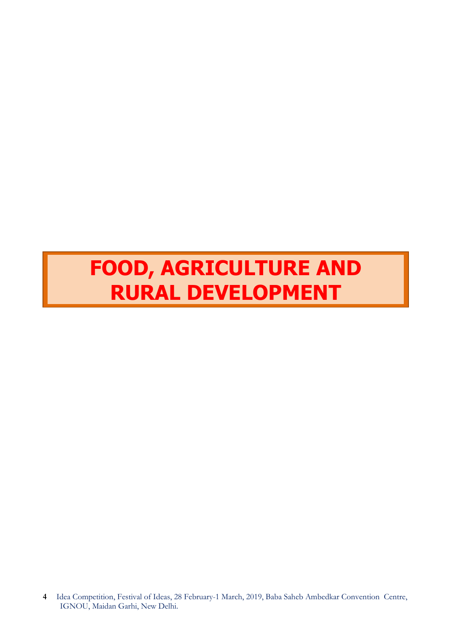# **FOOD, AGRICULTURE AND RURAL DEVELOPMENT**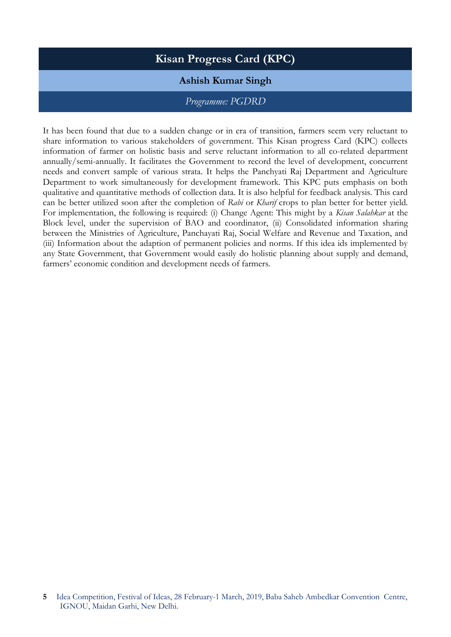# **Kisan Progress Card (KPC)**

# **Ashish Kumar Singh**

#### *Programme: PGDRD*

It has been found that due to a sudden change or in era of transition, farmers seem very reluctant to share information to various stakeholders of government. This Kisan progress Card (KPC) collects information of farmer on holistic basis and serve reluctant information to all co-related department annually/semi-annually. It facilitates the Government to record the level of development, concurrent needs and convert sample of various strata. It helps the Panchyati Raj Department and Agriculture Department to work simultaneously for development framework. This KPC puts emphasis on both qualitative and quantitative methods of collection data. It is also helpful for feedback analysis. This card can be better utilized soon after the completion of *Rabi* or *Kharif* crops to plan better for better yield. For implementation, the following is required: (i) Change Agent: This might by a *Kisan Salahkar* at the Block level, under the supervision of BAO and coordinator, (ii) Consolidated information sharing between the Ministries of Agriculture, Panchayati Raj, Social Welfare and Revenue and Taxation, and (iii) Information about the adaption of permanent policies and norms. If this idea ids implemented by any State Government, that Government would easily do holistic planning about supply and demand, farmers' economic condition and development needs of farmers.

**<sup>5</sup>** Idea Competition, Festival of Ideas, 28 February-1 March, 2019, Baba Saheb Ambedkar Convention Centre, IGNOU, Maidan Garhi, New Delhi.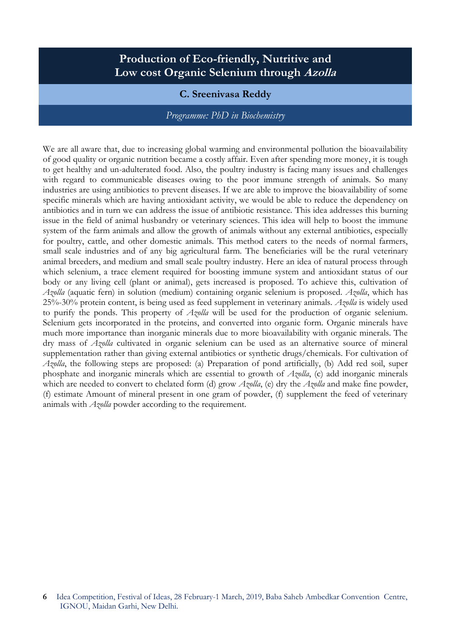# **Production of Eco-friendly, Nutritive and Low cost Organic Selenium through Azolla**

# **C. Sreenivasa Reddy**

#### *Programme: PhD in Biochemistry*

We are all aware that, due to increasing global warming and environmental pollution the bioavailability of good quality or organic nutrition became a costly affair. Even after spending more money, it is tough to get healthy and un-adulterated food. Also, the poultry industry is facing many issues and challenges with regard to communicable diseases owing to the poor immune strength of animals. So many industries are using antibiotics to prevent diseases. If we are able to improve the bioavailability of some specific minerals which are having antioxidant activity, we would be able to reduce the dependency on antibiotics and in turn we can address the issue of antibiotic resistance. This idea addresses this burning issue in the field of animal husbandry or veterinary sciences. This idea will help to boost the immune system of the farm animals and allow the growth of animals without any external antibiotics, especially for poultry, cattle, and other domestic animals. This method caters to the needs of normal farmers, small scale industries and of any big agricultural farm. The beneficiaries will be the rural veterinary animal breeders, and medium and small scale poultry industry. Here an idea of natural process through which selenium, a trace element required for boosting immune system and antioxidant status of our body or any living cell (plant or animal), gets increased is proposed. To achieve this, cultivation of *Azolla* (aquatic fern) in solution (medium) containing organic selenium is proposed. *Azolla*, which has 25%-30% protein content, is being used as feed supplement in veterinary animals. *Azolla* is widely used to purify the ponds. This property of *Azolla* will be used for the production of organic selenium. Selenium gets incorporated in the proteins, and converted into organic form. Organic minerals have much more importance than inorganic minerals due to more bioavailability with organic minerals. The dry mass of *Azolla* cultivated in organic selenium can be used as an alternative source of mineral supplementation rather than giving external antibiotics or synthetic drugs/chemicals. For cultivation of *Azolla*, the following steps are proposed: (a) Preparation of pond artificially, (b) Add red soil, super phosphate and inorganic minerals which are essential to growth of *Azolla*, (c) add inorganic minerals which are needed to convert to chelated form (d) grow *Azolla*, (e) dry the *Azolla* and make fine powder, (f) estimate Amount of mineral present in one gram of powder, (f) supplement the feed of veterinary animals with *Azolla* powder according to the requirement.

**<sup>6</sup>** Idea Competition, Festival of Ideas, 28 February-1 March, 2019, Baba Saheb Ambedkar Convention Centre, IGNOU, Maidan Garhi, New Delhi.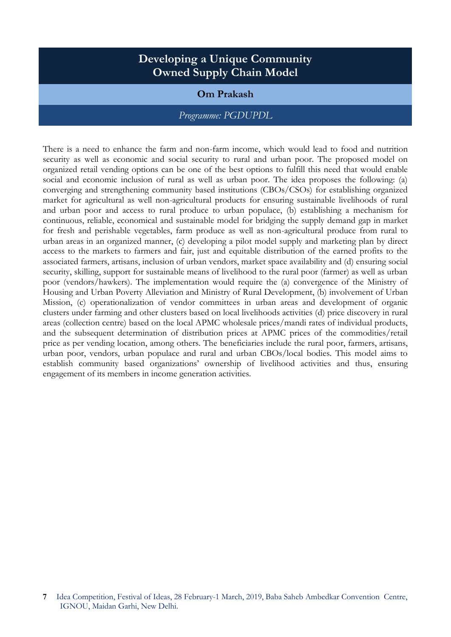# **Developing a Unique Community Owned Supply Chain Model**

#### **Om Prakash**

#### *Programme: PGDUPDL*

There is a need to enhance the farm and non-farm income, which would lead to food and nutrition security as well as economic and social security to rural and urban poor. The proposed model on organized retail vending options can be one of the best options to fulfill this need that would enable social and economic inclusion of rural as well as urban poor. The idea proposes the following: (a) converging and strengthening community based institutions (CBOs/CSOs) for establishing organized market for agricultural as well non-agricultural products for ensuring sustainable livelihoods of rural and urban poor and access to rural produce to urban populace, (b) establishing a mechanism for continuous, reliable, economical and sustainable model for bridging the supply demand gap in market for fresh and perishable vegetables, farm produce as well as non-agricultural produce from rural to urban areas in an organized manner, (c) developing a pilot model supply and marketing plan by direct access to the markets to farmers and fair, just and equitable distribution of the earned profits to the associated farmers, artisans, inclusion of urban vendors, market space availability and (d) ensuring social security, skilling, support for sustainable means of livelihood to the rural poor (farmer) as well as urban poor (vendors/hawkers). The implementation would require the (a) convergence of the Ministry of Housing and Urban Poverty Alleviation and Ministry of Rural Development, (b) involvement of Urban Mission, (c) operationalization of vendor committees in urban areas and development of organic clusters under farming and other clusters based on local livelihoods activities (d) price discovery in rural areas (collection centre) based on the local APMC wholesale prices/mandi rates of individual products, and the subsequent determination of distribution prices at APMC prices of the commodities/retail price as per vending location, among others. The beneficiaries include the rural poor, farmers, artisans, urban poor, vendors, urban populace and rural and urban CBOs/local bodies. This model aims to establish community based organizations' ownership of livelihood activities and thus, ensuring engagement of its members in income generation activities.

**<sup>7</sup>** Idea Competition, Festival of Ideas, 28 February-1 March, 2019, Baba Saheb Ambedkar Convention Centre, IGNOU, Maidan Garhi, New Delhi.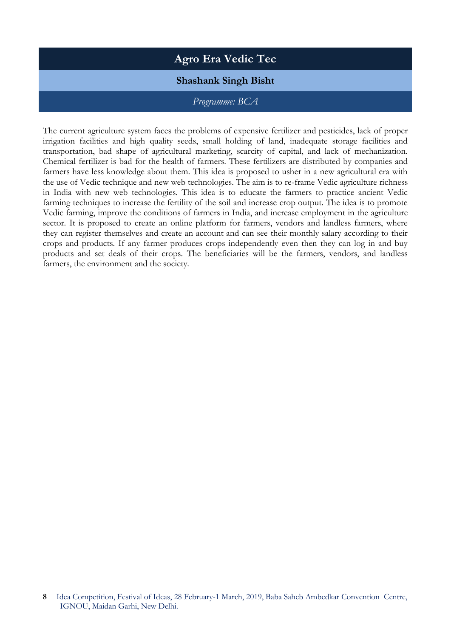# **Agro Era Vedic Tec**

# **Shashank Singh Bisht**

### *Programme: BCA*

The current agriculture system faces the problems of expensive fertilizer and pesticides, lack of proper irrigation facilities and high quality seeds, small holding of land, inadequate storage facilities and transportation, bad shape of agricultural marketing, scarcity of capital, and lack of mechanization. Chemical fertilizer is bad for the health of farmers. These fertilizers are distributed by companies and farmers have less knowledge about them. This idea is proposed to usher in a new agricultural era with the use of Vedic technique and new web technologies. The aim is to re-frame Vedic agriculture richness in India with new web technologies. This idea is to educate the farmers to practice ancient Vedic farming techniques to increase the fertility of the soil and increase crop output. The idea is to promote Vedic farming, improve the conditions of farmers in India, and increase employment in the agriculture sector. It is proposed to create an online platform for farmers, vendors and landless farmers, where they can register themselves and create an account and can see their monthly salary according to their crops and products. If any farmer produces crops independently even then they can log in and buy products and set deals of their crops. The beneficiaries will be the farmers, vendors, and landless farmers, the environment and the society.

**<sup>8</sup>** Idea Competition, Festival of Ideas, 28 February-1 March, 2019, Baba Saheb Ambedkar Convention Centre, IGNOU, Maidan Garhi, New Delhi.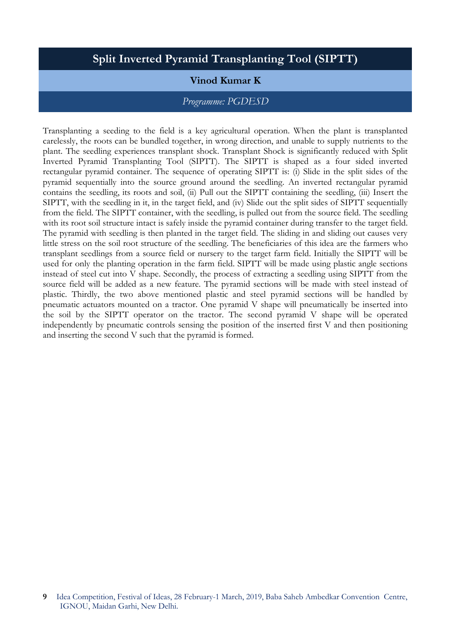# **Split Inverted Pyramid Transplanting Tool (SIPTT)**

### **Vinod Kumar K**

#### *Programme: PGDESD*

Transplanting a seeding to the field is a key agricultural operation. When the plant is transplanted carelessly, the roots can be bundled together, in wrong direction, and unable to supply nutrients to the plant. The seedling experiences transplant shock. Transplant Shock is significantly reduced with Split Inverted Pyramid Transplanting Tool (SIPTT). The SIPTT is shaped as a four sided inverted rectangular pyramid container. The sequence of operating SIPTT is: (i) Slide in the split sides of the pyramid sequentially into the source ground around the seedling. An inverted rectangular pyramid contains the seedling, its roots and soil, (ii) Pull out the SIPTT containing the seedling, (iii) Insert the SIPTT, with the seedling in it, in the target field, and (iv) Slide out the split sides of SIPTT sequentially from the field. The SIPTT container, with the seedling, is pulled out from the source field. The seedling with its root soil structure intact is safely inside the pyramid container during transfer to the target field. The pyramid with seedling is then planted in the target field. The sliding in and sliding out causes very little stress on the soil root structure of the seedling. The beneficiaries of this idea are the farmers who transplant seedlings from a source field or nursery to the target farm field. Initially the SIPTT will be used for only the planting operation in the farm field. SIPTT will be made using plastic angle sections instead of steel cut into V shape. Secondly, the process of extracting a seedling using SIPTT from the source field will be added as a new feature. The pyramid sections will be made with steel instead of plastic. Thirdly, the two above mentioned plastic and steel pyramid sections will be handled by pneumatic actuators mounted on a tractor. One pyramid V shape will pneumatically be inserted into the soil by the SIPTT operator on the tractor. The second pyramid V shape will be operated independently by pneumatic controls sensing the position of the inserted first V and then positioning and inserting the second V such that the pyramid is formed.

**<sup>9</sup>** Idea Competition, Festival of Ideas, 28 February-1 March, 2019, Baba Saheb Ambedkar Convention Centre, IGNOU, Maidan Garhi, New Delhi.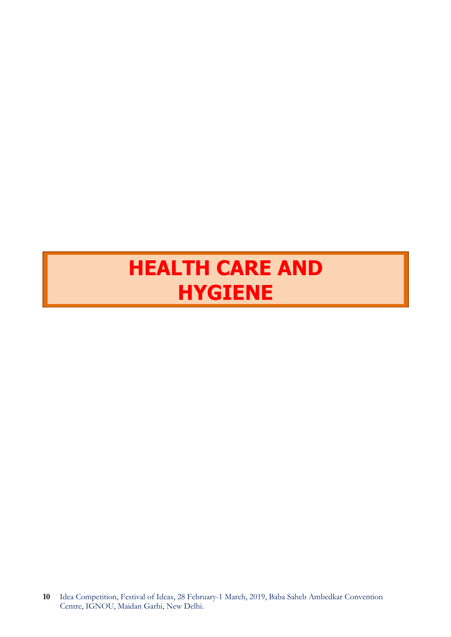# **HEALTH CARE AND HYGIENE**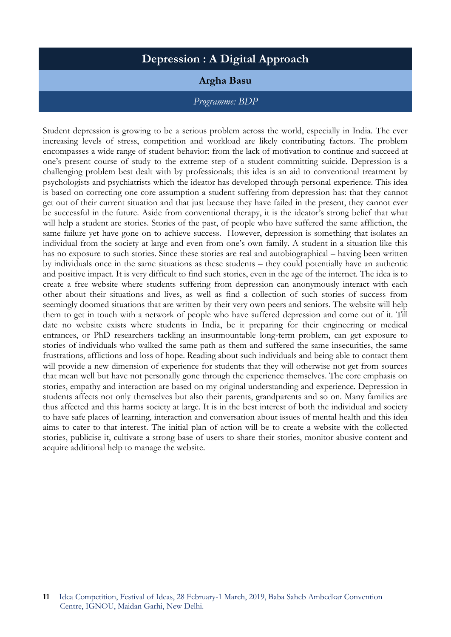# **Depression : A Digital Approach**

### **Argha Basu**

# *Programme: BDP*

Student depression is growing to be a serious problem across the world, especially in India. The ever increasing levels of stress, competition and workload are likely contributing factors. The problem encompasses a wide range of student behavior: from the lack of motivation to continue and succeed at one's present course of study to the extreme step of a student committing suicide. Depression is a challenging problem best dealt with by professionals; this idea is an aid to conventional treatment by psychologists and psychiatrists which the ideator has developed through personal experience. This idea is based on correcting one core assumption a student suffering from depression has: that they cannot get out of their current situation and that just because they have failed in the present, they cannot ever be successful in the future. Aside from conventional therapy, it is the ideator's strong belief that what will help a student are stories. Stories of the past, of people who have suffered the same affliction, the same failure yet have gone on to achieve success. However, depression is something that isolates an individual from the society at large and even from one's own family. A student in a situation like this has no exposure to such stories. Since these stories are real and autobiographical – having been written by individuals once in the same situations as these students – they could potentially have an authentic and positive impact. It is very difficult to find such stories, even in the age of the internet. The idea is to create a free website where students suffering from depression can anonymously interact with each other about their situations and lives, as well as find a collection of such stories of success from seemingly doomed situations that are written by their very own peers and seniors. The website will help them to get in touch with a network of people who have suffered depression and come out of it. Till date no website exists where students in India, be it preparing for their engineering or medical entrances, or PhD researchers tackling an insurmountable long-term problem, can get exposure to stories of individuals who walked the same path as them and suffered the same insecurities, the same frustrations, afflictions and loss of hope. Reading about such individuals and being able to contact them will provide a new dimension of experience for students that they will otherwise not get from sources that mean well but have not personally gone through the experience themselves. The core emphasis on stories, empathy and interaction are based on my original understanding and experience. Depression in students affects not only themselves but also their parents, grandparents and so on. Many families are thus affected and this harms society at large. It is in the best interest of both the individual and society to have safe places of learning, interaction and conversation about issues of mental health and this idea aims to cater to that interest. The initial plan of action will be to create a website with the collected stories, publicise it, cultivate a strong base of users to share their stories, monitor abusive content and acquire additional help to manage the website.

**<sup>11</sup>** Idea Competition, Festival of Ideas, 28 February-1 March, 2019, Baba Saheb Ambedkar Convention Centre, IGNOU, Maidan Garhi, New Delhi.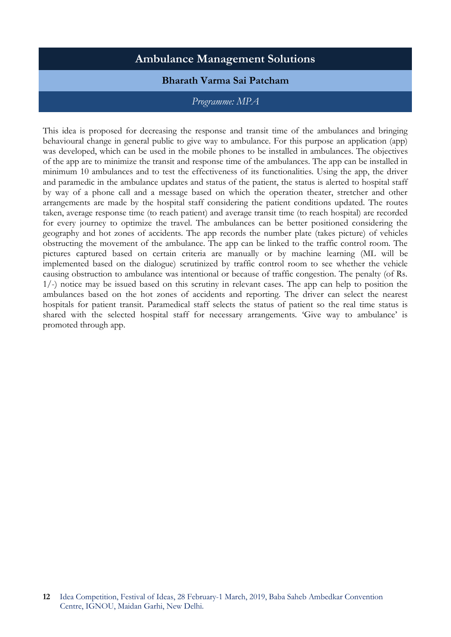# **Ambulance Management Solutions**

### **Bharath Varma Sai Patcham**

#### *Programme: MPA*

This idea is proposed for decreasing the response and transit time of the ambulances and bringing behavioural change in general public to give way to ambulance. For this purpose an application (app) was developed, which can be used in the mobile phones to be installed in ambulances. The objectives of the app are to minimize the transit and response time of the ambulances. The app can be installed in minimum 10 ambulances and to test the effectiveness of its functionalities. Using the app, the driver and paramedic in the ambulance updates and status of the patient, the status is alerted to hospital staff by way of a phone call and a message based on which the operation theater, stretcher and other arrangements are made by the hospital staff considering the patient conditions updated. The routes taken, average response time (to reach patient) and average transit time (to reach hospital) are recorded for every journey to optimize the travel. The ambulances can be better positioned considering the geography and hot zones of accidents. The app records the number plate (takes picture) of vehicles obstructing the movement of the ambulance. The app can be linked to the traffic control room. The pictures captured based on certain criteria are manually or by machine learning (ML will be implemented based on the dialogue) scrutinized by traffic control room to see whether the vehicle causing obstruction to ambulance was intentional or because of traffic congestion. The penalty (of Rs. 1/-) notice may be issued based on this scrutiny in relevant cases. The app can help to position the ambulances based on the hot zones of accidents and reporting. The driver can select the nearest hospitals for patient transit. Paramedical staff selects the status of patient so the real time status is shared with the selected hospital staff for necessary arrangements. 'Give way to ambulance' is promoted through app.

**<sup>12</sup>** Idea Competition, Festival of Ideas, 28 February-1 March, 2019, Baba Saheb Ambedkar Convention Centre, IGNOU, Maidan Garhi, New Delhi.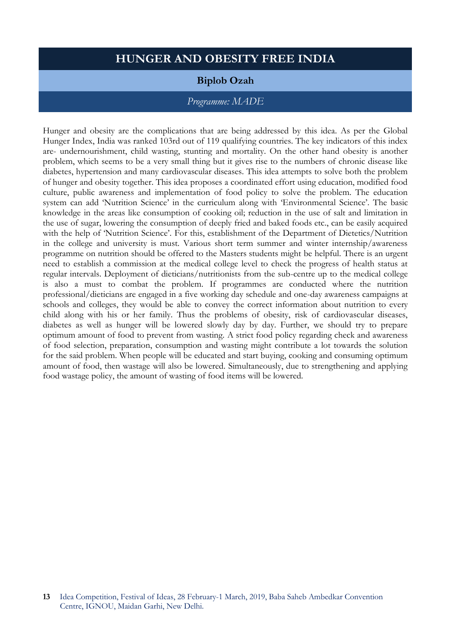# **HUNGER AND OBESITY FREE INDIA**

#### **Biplob Ozah**

#### *Programme: MADE*

Hunger and obesity are the complications that are being addressed by this idea. As per the Global Hunger Index, India was ranked 103rd out of 119 qualifying countries. The key indicators of this index are- undernourishment, child wasting, stunting and mortality. On the other hand obesity is another problem, which seems to be a very small thing but it gives rise to the numbers of chronic disease like diabetes, hypertension and many cardiovascular diseases. This idea attempts to solve both the problem of hunger and obesity together. This idea proposes a coordinated effort using education, modified food culture, public awareness and implementation of food policy to solve the problem. The education system can add 'Nutrition Science' in the curriculum along with 'Environmental Science'. The basic knowledge in the areas like consumption of cooking oil; reduction in the use of salt and limitation in the use of sugar, lowering the consumption of deeply fried and baked foods etc., can be easily acquired with the help of 'Nutrition Science'. For this, establishment of the Department of Dietetics/Nutrition in the college and university is must. Various short term summer and winter internship/awareness programme on nutrition should be offered to the Masters students might be helpful. There is an urgent need to establish a commission at the medical college level to check the progress of health status at regular intervals. Deployment of dieticians/nutritionists from the sub-centre up to the medical college is also a must to combat the problem. If programmes are conducted where the nutrition professional/dieticians are engaged in a five working day schedule and one-day awareness campaigns at schools and colleges, they would be able to convey the correct information about nutrition to every child along with his or her family. Thus the problems of obesity, risk of cardiovascular diseases, diabetes as well as hunger will be lowered slowly day by day. Further, we should try to prepare optimum amount of food to prevent from wasting. A strict food policy regarding check and awareness of food selection, preparation, consumption and wasting might contribute a lot towards the solution for the said problem. When people will be educated and start buying, cooking and consuming optimum amount of food, then wastage will also be lowered. Simultaneously, due to strengthening and applying food wastage policy, the amount of wasting of food items will be lowered.

**<sup>13</sup>** Idea Competition, Festival of Ideas, 28 February-1 March, 2019, Baba Saheb Ambedkar Convention Centre, IGNOU, Maidan Garhi, New Delhi.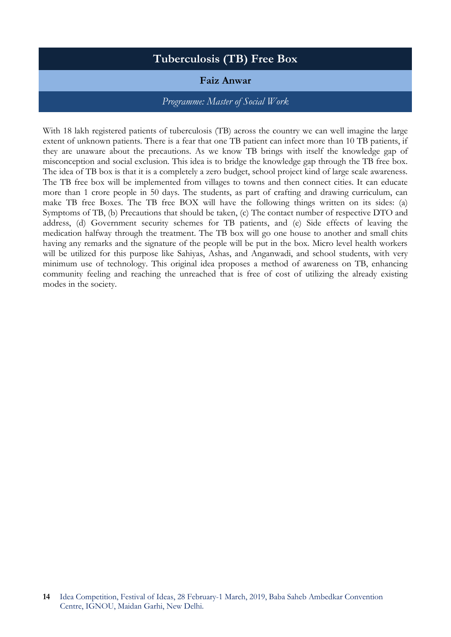# **Tuberculosis (TB) Free Box**

# **Faiz Anwar**

#### *Programme: Master of Social Work*

With 18 lakh registered patients of tuberculosis (TB) across the country we can well imagine the large extent of unknown patients. There is a fear that one TB patient can infect more than 10 TB patients, if they are unaware about the precautions. As we know TB brings with itself the knowledge gap of misconception and social exclusion. This idea is to bridge the knowledge gap through the TB free box. The idea of TB box is that it is a completely a zero budget, school project kind of large scale awareness. The TB free box will be implemented from villages to towns and then connect cities. It can educate more than 1 crore people in 50 days. The students, as part of crafting and drawing curriculum, can make TB free Boxes. The TB free BOX will have the following things written on its sides: (a) Symptoms of TB, (b) Precautions that should be taken, (c) The contact number of respective DTO and address, (d) Government security schemes for TB patients, and (e) Side effects of leaving the medication halfway through the treatment. The TB box will go one house to another and small chits having any remarks and the signature of the people will be put in the box. Micro level health workers will be utilized for this purpose like Sahiyas, Ashas, and Anganwadi, and school students, with very minimum use of technology. This original idea proposes a method of awareness on TB, enhancing community feeling and reaching the unreached that is free of cost of utilizing the already existing modes in the society.

**<sup>14</sup>** Idea Competition, Festival of Ideas, 28 February-1 March, 2019, Baba Saheb Ambedkar Convention Centre, IGNOU, Maidan Garhi, New Delhi.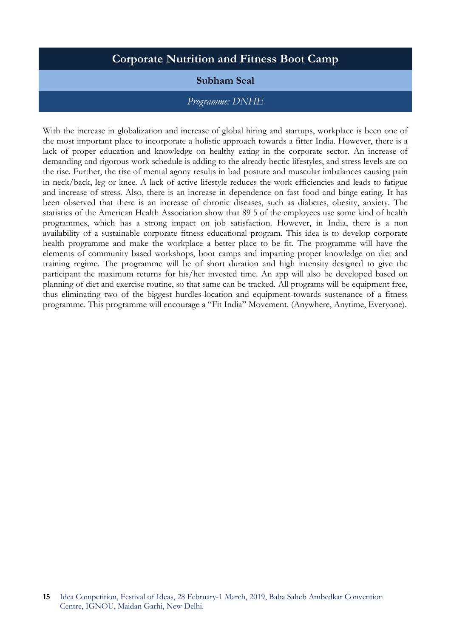# **Corporate Nutrition and Fitness Boot Camp**

#### **Subham Seal**

#### *Programme: DNHE*

With the increase in globalization and increase of global hiring and startups, workplace is been one of the most important place to incorporate a holistic approach towards a fitter India. However, there is a lack of proper education and knowledge on healthy eating in the corporate sector. An increase of demanding and rigorous work schedule is adding to the already hectic lifestyles, and stress levels are on the rise. Further, the rise of mental agony results in bad posture and muscular imbalances causing pain in neck/back, leg or knee. A lack of active lifestyle reduces the work efficiencies and leads to fatigue and increase of stress. Also, there is an increase in dependence on fast food and binge eating. It has been observed that there is an increase of chronic diseases, such as diabetes, obesity, anxiety. The statistics of the American Health Association show that 89 5 of the employees use some kind of health programmes, which has a strong impact on job satisfaction. However, in India, there is a non availability of a sustainable corporate fitness educational program. This idea is to develop corporate health programme and make the workplace a better place to be fit. The programme will have the elements of community based workshops, boot camps and imparting proper knowledge on diet and training regime. The programme will be of short duration and high intensity designed to give the participant the maximum returns for his/her invested time. An app will also be developed based on planning of diet and exercise routine, so that same can be tracked. All programs will be equipment free, thus eliminating two of the biggest hurdles-location and equipment-towards sustenance of a fitness programme. This programme will encourage a "Fit India" Movement. (Anywhere, Anytime, Everyone).

**<sup>15</sup>** Idea Competition, Festival of Ideas, 28 February-1 March, 2019, Baba Saheb Ambedkar Convention Centre, IGNOU, Maidan Garhi, New Delhi.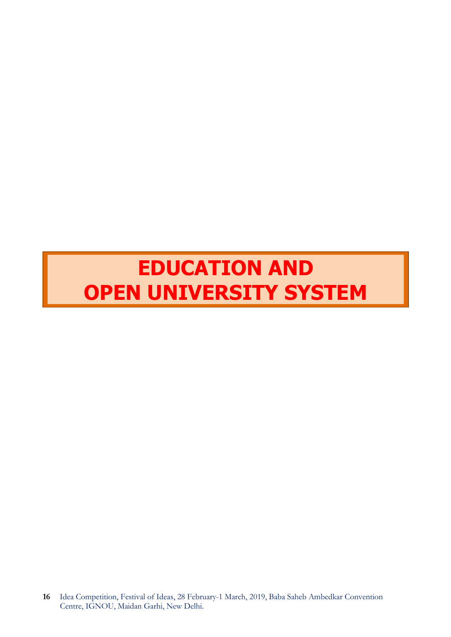# **EDUCATION AND OPEN UNIVERSITY SYSTEM**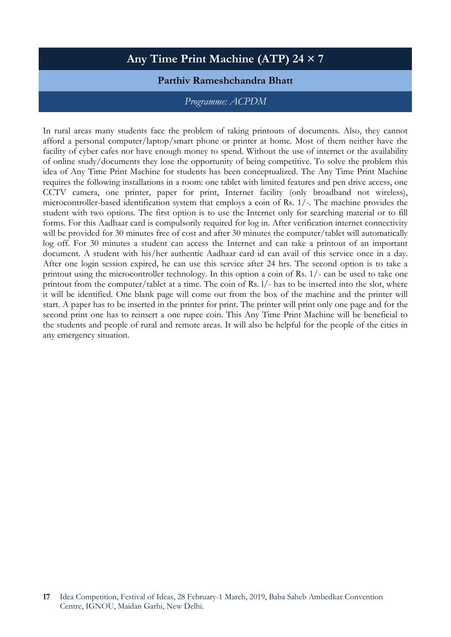# **Any Time Print Machine (ATP) 24 × 7**

### **Parthiv Rameshchandra Bhatt**

#### *Programme: ACPDM*

In rural areas many students face the problem of taking printouts of documents. Also, they cannot afford a personal computer/laptop/smart phone or printer at home. Most of them neither have the facility of cyber cafes nor have enough money to spend. Without the use of internet or the availability of online study/documents they lose the opportunity of being competitive. To solve the problem this idea of Any Time Print Machine for students has been conceptualized. The Any Time Print Machine requires the following installations in a room: one tablet with limited features and pen drive access, one CCTV camera, one printer, paper for print, Internet facility (only broadband not wireless), microcontroller-based identification system that employs a coin of Rs. 1/-. The machine provides the student with two options. The first option is to use the Internet only for searching material or to fill forms. For this Aadhaar card is compulsorily required for log in. After verification internet connectivity will be provided for 30 minutes free of cost and after 30 minutes the computer/tablet will automatically log off. For 30 minutes a student can access the Internet and can take a printout of an important document. A student with his/her authentic Aadhaar card id can avail of this service once in a day. After one login session expired, he can use this service after 24 hrs. The second option is to take a printout using the microcontroller technology. In this option a coin of Rs. 1/- can be used to take one printout from the computer/tablet at a time. The coin of Rs. l/- has to be inserted into the slot, where it will be identified. One blank page will come out from the box of the machine and the printer will start. A paper has to be inserted in the printer for print. The printer will print only one page and for the second print one has to reinsert a one rupee coin. This Any Time Print Machine will be beneficial to the students and people of rural and remote areas. It will also be helpful for the people of the cities in any emergency situation.

**<sup>17</sup>** Idea Competition, Festival of Ideas, 28 February-1 March, 2019, Baba Saheb Ambedkar Convention Centre, IGNOU, Maidan Garhi, New Delhi.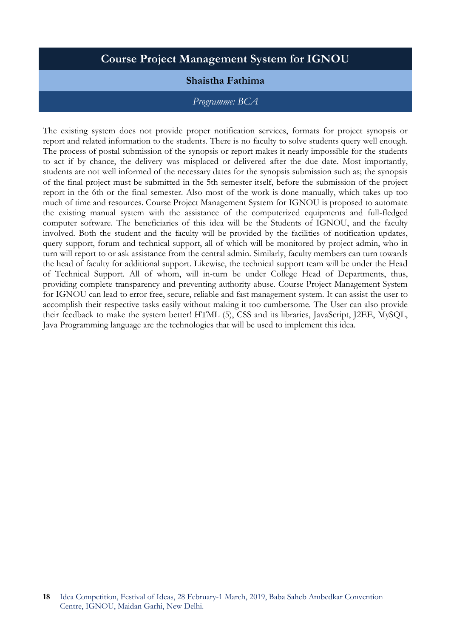# **Course Project Management System for IGNOU**

# **Shaistha Fathima**

#### *Programme: BCA*

The existing system does not provide proper notification services, formats for project synopsis or report and related information to the students. There is no faculty to solve students query well enough. The process of postal submission of the synopsis or report makes it nearly impossible for the students to act if by chance, the delivery was misplaced or delivered after the due date. Most importantly, students are not well informed of the necessary dates for the synopsis submission such as; the synopsis of the final project must be submitted in the 5th semester itself, before the submission of the project report in the 6th or the final semester. Also most of the work is done manually, which takes up too much of time and resources. Course Project Management System for IGNOU is proposed to automate the existing manual system with the assistance of the computerized equipments and full-fledged computer software. The beneficiaries of this idea will be the Students of IGNOU, and the faculty involved. Both the student and the faculty will be provided by the facilities of notification updates, query support, forum and technical support, all of which will be monitored by project admin, who in turn will report to or ask assistance from the central admin. Similarly, faculty members can turn towards the head of faculty for additional support. Likewise, the technical support team will be under the Head of Technical Support. All of whom, will in-turn be under College Head of Departments, thus, providing complete transparency and preventing authority abuse. Course Project Management System for IGNOU can lead to error free, secure, reliable and fast management system. It can assist the user to accomplish their respective tasks easily without making it too cumbersome. The User can also provide their feedback to make the system better! HTML (5), CSS and its libraries, JavaScript, J2EE, MySQL, Java Programming language are the technologies that will be used to implement this idea.

**<sup>18</sup>** Idea Competition, Festival of Ideas, 28 February-1 March, 2019, Baba Saheb Ambedkar Convention Centre, IGNOU, Maidan Garhi, New Delhi.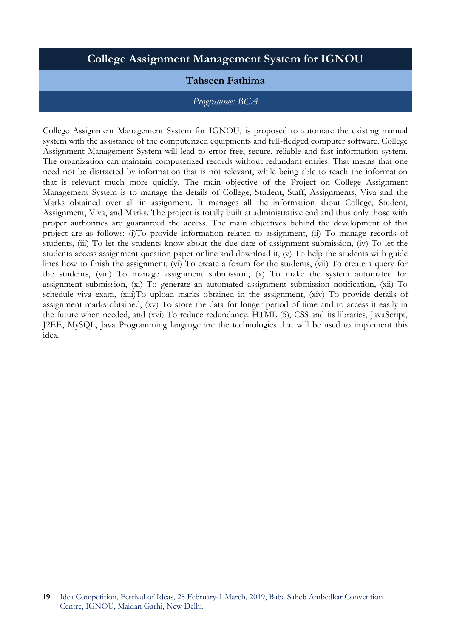# **College Assignment Management System for IGNOU**

# **Tahseen Fathima**

#### *Programme: BCA*

College Assignment Management System for IGNOU, is proposed to automate the existing manual system with the assistance of the computerized equipments and full-fledged computer software. College Assignment Management System will lead to error free, secure, reliable and fast information system. The organization can maintain computerized records without redundant entries. That means that one need not be distracted by information that is not relevant, while being able to reach the information that is relevant much more quickly. The main objective of the Project on College Assignment Management System is to manage the details of College, Student, Staff, Assignments, Viva and the Marks obtained over all in assignment. It manages all the information about College, Student, Assignment, Viva, and Marks. The project is totally built at administrative end and thus only those with proper authorities are guaranteed the access. The main objectives behind the development of this project are as follows: (i)To provide information related to assignment, (ii) To manage records of students, (iii) To let the students know about the due date of assignment submission, (iv) To let the students access assignment question paper online and download it, (v) To help the students with guide lines how to finish the assignment, (vi) To create a forum for the students, (vii) To create a query for the students, (viii) To manage assignment submission, (x) To make the system automated for assignment submission, (xi) To generate an automated assignment submission notification, (xii) To schedule viva exam, (xiii)To upload marks obtained in the assignment, (xiv) To provide details of assignment marks obtained, (xv) To store the data for longer period of time and to access it easily in the future when needed, and (xvi) To reduce redundancy. HTML (5), CSS and its libraries, JavaScript, J2EE, MySQL, Java Programming language are the technologies that will be used to implement this idea.

**<sup>19</sup>** Idea Competition, Festival of Ideas, 28 February-1 March, 2019, Baba Saheb Ambedkar Convention Centre, IGNOU, Maidan Garhi, New Delhi.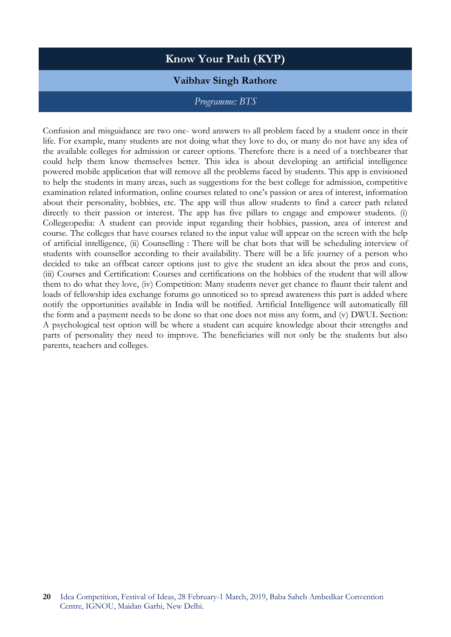# **Know Your Path (KYP)**

### **Vaibhav Singh Rathore**

#### *Programme: BTS*

Confusion and misguidance are two one- word answers to all problem faced by a student once in their life. For example, many students are not doing what they love to do, or many do not have any idea of the available colleges for admission or career options. Therefore there is a need of a torchbearer that could help them know themselves better. This idea is about developing an artificial intelligence powered mobile application that will remove all the problems faced by students. This app is envisioned to help the students in many areas, such as suggestions for the best college for admission, competitive examination related information, online courses related to one's passion or area of interest, information about their personality, hobbies, etc. The app will thus allow students to find a career path related directly to their passion or interest. The app has five pillars to engage and empower students. (i) Collegeopedia: A student can provide input regarding their hobbies, passion, area of interest and course. The colleges that have courses related to the input value will appear on the screen with the help of artificial intelligence, (ii) Counselling : There will be chat bots that will be scheduling interview of students with counsellor according to their availability. There will be a life journey of a person who decided to take an offbeat career options just to give the student an idea about the pros and cons, (iii) Courses and Certification: Courses and certifications on the hobbies of the student that will allow them to do what they love, (iv) Competition: Many students never get chance to flaunt their talent and loads of fellowship idea exchange forums go unnoticed so to spread awareness this part is added where notify the opportunities available in India will be notified. Artificial Intelligence will automatically fill the form and a payment needs to be done so that one does not miss any form, and (v) DWUL Section: A psychological test option will be where a student can acquire knowledge about their strengths and parts of personality they need to improve. The beneficiaries will not only be the students but also parents, teachers and colleges.

**<sup>20</sup>** Idea Competition, Festival of Ideas, 28 February-1 March, 2019, Baba Saheb Ambedkar Convention Centre, IGNOU, Maidan Garhi, New Delhi.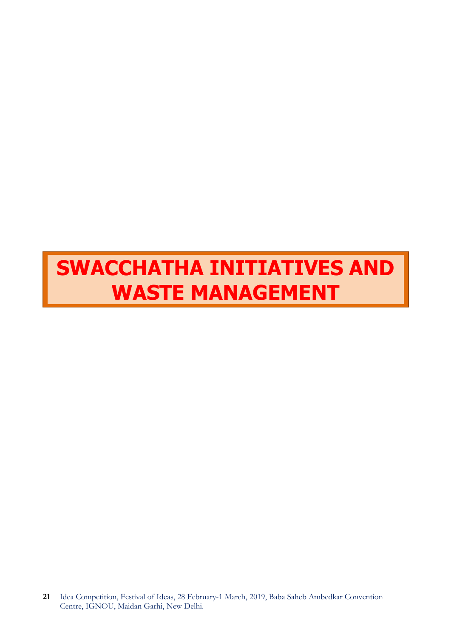# **SWACCHATHA INITIATIVES AND WASTE MANAGEMENT**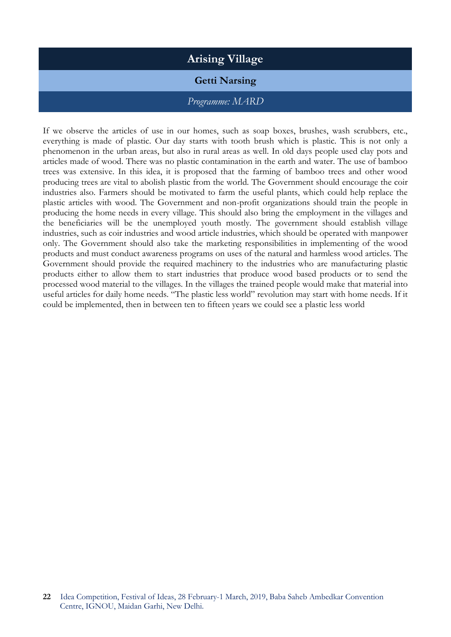# **Arising Village**

# **Getti Narsing**

#### *Programme: MARD*

If we observe the articles of use in our homes, such as soap boxes, brushes, wash scrubbers, etc., everything is made of plastic. Our day starts with tooth brush which is plastic. This is not only a phenomenon in the urban areas, but also in rural areas as well. In old days people used clay pots and articles made of wood. There was no plastic contamination in the earth and water. The use of bamboo trees was extensive. In this idea, it is proposed that the farming of bamboo trees and other wood producing trees are vital to abolish plastic from the world. The Government should encourage the coir industries also. Farmers should be motivated to farm the useful plants, which could help replace the plastic articles with wood. The Government and non-profit organizations should train the people in producing the home needs in every village. This should also bring the employment in the villages and the beneficiaries will be the unemployed youth mostly. The government should establish village industries, such as coir industries and wood article industries, which should be operated with manpower only. The Government should also take the marketing responsibilities in implementing of the wood products and must conduct awareness programs on uses of the natural and harmless wood articles. The Government should provide the required machinery to the industries who are manufacturing plastic products either to allow them to start industries that produce wood based products or to send the processed wood material to the villages. In the villages the trained people would make that material into useful articles for daily home needs. "The plastic less world" revolution may start with home needs. If it could be implemented, then in between ten to fifteen years we could see a plastic less world

**<sup>22</sup>** Idea Competition, Festival of Ideas, 28 February-1 March, 2019, Baba Saheb Ambedkar Convention Centre, IGNOU, Maidan Garhi, New Delhi.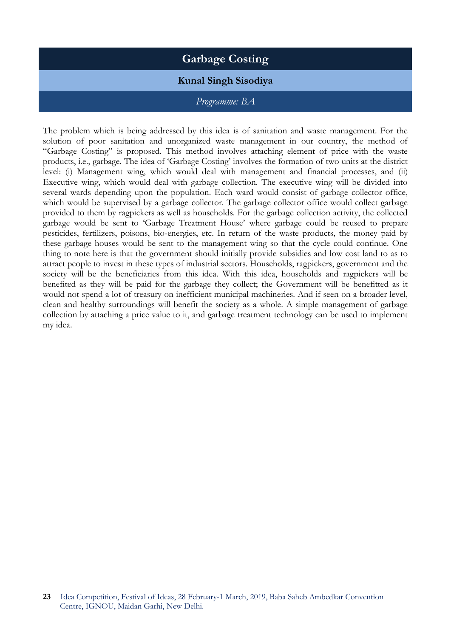# **Garbage Costing**

# **Kunal Singh Sisodiya**

#### *Programme: BA*

The problem which is being addressed by this idea is of sanitation and waste management. For the solution of poor sanitation and unorganized waste management in our country, the method of "Garbage Costing" is proposed. This method involves attaching element of price with the waste products, i.e., garbage. The idea of 'Garbage Costing' involves the formation of two units at the district level: (i) Management wing, which would deal with management and financial processes, and (ii) Executive wing, which would deal with garbage collection. The executive wing will be divided into several wards depending upon the population. Each ward would consist of garbage collector office, which would be supervised by a garbage collector. The garbage collector office would collect garbage provided to them by ragpickers as well as households. For the garbage collection activity, the collected garbage would be sent to 'Garbage Treatment House' where garbage could be reused to prepare pesticides, fertilizers, poisons, bio-energies, etc. In return of the waste products, the money paid by these garbage houses would be sent to the management wing so that the cycle could continue. One thing to note here is that the government should initially provide subsidies and low cost land to as to attract people to invest in these types of industrial sectors. Households, ragpickers, government and the society will be the beneficiaries from this idea. With this idea, households and ragpickers will be benefited as they will be paid for the garbage they collect; the Government will be benefitted as it would not spend a lot of treasury on inefficient municipal machineries. And if seen on a broader level, clean and healthy surroundings will benefit the society as a whole. A simple management of garbage collection by attaching a price value to it, and garbage treatment technology can be used to implement my idea.

**<sup>23</sup>** Idea Competition, Festival of Ideas, 28 February-1 March, 2019, Baba Saheb Ambedkar Convention Centre, IGNOU, Maidan Garhi, New Delhi.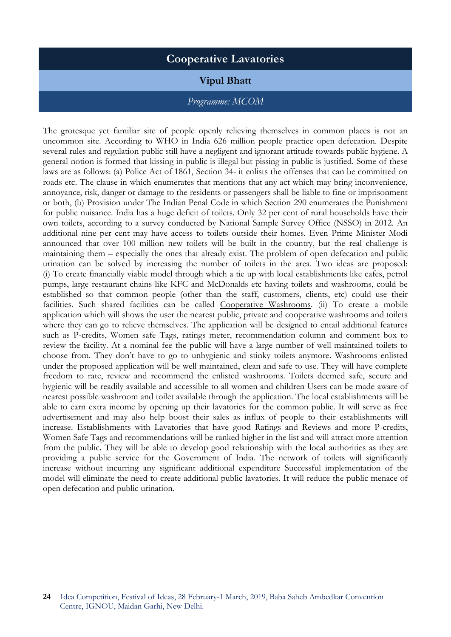# **Cooperative Lavatories**

#### **Vipul Bhatt**

#### *Programme: MCOM*

The grotesque yet familiar site of people openly relieving themselves in common places is not an uncommon site. According to WHO in India 626 million people practice open defecation. Despite several rules and regulation public still have a negligent and ignorant attitude towards public hygiene. A general notion is formed that kissing in public is illegal but pissing in public is justified. Some of these laws are as follows: (a) Police Act of 1861, Section 34- it enlists the offenses that can be committed on roads etc. The clause in which enumerates that mentions that any act which may bring inconvenience, annoyance, risk, danger or damage to the residents or passengers shall be liable to fine or imprisonment or both, (b) Provision under The Indian Penal Code in which Section 290 enumerates the Punishment for public nuisance. India has a huge deficit of toilets. Only 32 per cent of rural households have their own toilets, according to a survey conducted by National Sample Survey Office (NSSO) in 2012. An additional nine per cent may have access to toilets outside their homes. Even Prime Minister Modi announced that over 100 million new toilets will be built in the country, but the real challenge is maintaining them – especially the ones that already exist. The problem of open defecation and public urination can be solved by increasing the number of toilets in the area. Two ideas are proposed: (i) To create financially viable model through which a tie up with local establishments like cafes, petrol pumps, large restaurant chains like KFC and McDonalds etc having toilets and washrooms, could be established so that common people (other than the staff, customers, clients, etc) could use their facilities. Such shared facilities can be called Cooperative Washrooms. (ii) To create a mobile application which will shows the user the nearest public, private and cooperative washrooms and toilets where they can go to relieve themselves. The application will be designed to entail additional features such as P-credits, Women safe Tags, ratings meter, recommendation column and comment box to review the facility. At a nominal fee the public will have a large number of well maintained toilets to choose from. They don't have to go to unhygienic and stinky toilets anymore. Washrooms enlisted under the proposed application will be well maintained, clean and safe to use. They will have complete freedom to rate, review and recommend the enlisted washrooms. Toilets deemed safe, secure and hygienic will be readily available and accessible to all women and children Users can be made aware of nearest possible washroom and toilet available through the application. The local establishments will be able to earn extra income by opening up their lavatories for the common public. It will serve as free advertisement and may also help boost their sales as influx of people to their establishments will increase. Establishments with Lavatories that have good Ratings and Reviews and more P-credits, Women Safe Tags and recommendations will be ranked higher in the list and will attract more attention from the public. They will be able to develop good relationship with the local authorities as they are providing a public service for the Government of India. The network of toilets will significantly increase without incurring any significant additional expenditure Successful implementation of the model will eliminate the need to create additional public lavatories. It will reduce the public menace of open defecation and public urination.

**<sup>24</sup>** Idea Competition, Festival of Ideas, 28 February-1 March, 2019, Baba Saheb Ambedkar Convention Centre, IGNOU, Maidan Garhi, New Delhi.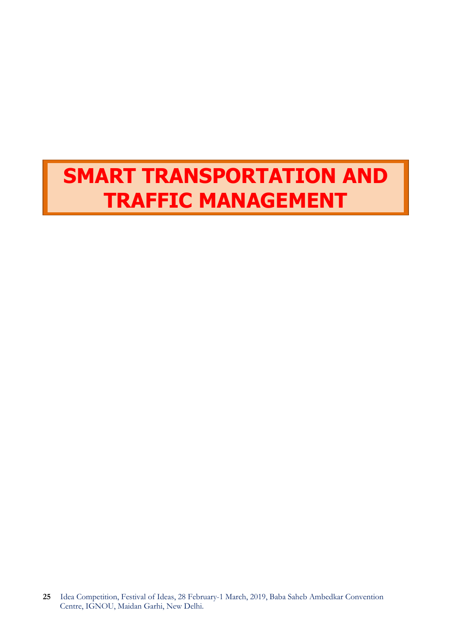# **SMART TRANSPORTATION AND TRAFFIC MANAGEMENT**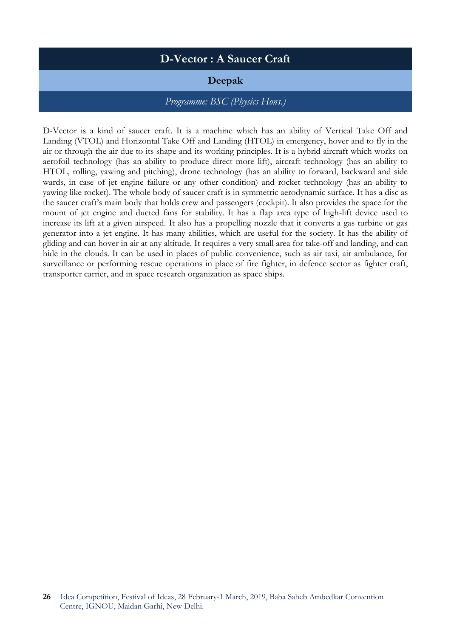# **D-Vector : A Saucer Craft**

# **Deepak**

### *Programme: BSC (Physics Hons.)*

D-Vector is a kind of saucer craft. It is a machine which has an ability of Vertical Take Off and Landing (VTOL) and Horizontal Take Off and Landing (HTOL) in emergency, hover and to fly in the air or through the air due to its shape and its working principles. It is a hybrid aircraft which works on aerofoil technology (has an ability to produce direct more lift), aircraft technology (has an ability to HTOL, rolling, yawing and pitching), drone technology (has an ability to forward, backward and side wards, in case of jet engine failure or any other condition) and rocket technology (has an ability to yawing like rocket). The whole body of saucer craft is in symmetric aerodynamic surface. It has a disc as the saucer craft's main body that holds crew and passengers (cockpit). It also provides the space for the mount of jet engine and ducted fans for stability. It has a flap area type of high-lift device used to increase its lift at a given airspeed. It also has a propelling nozzle that it converts a gas turbine or gas generator into a jet engine. It has many abilities, which are useful for the society. It has the ability of gliding and can hover in air at any altitude. It requires a very small area for take-off and landing, and can hide in the clouds. It can be used in places of public convenience, such as air taxi, air ambulance, for surveillance or performing rescue operations in place of fire fighter, in defence sector as fighter craft, transporter carrier, and in space research organization as space ships.

**<sup>26</sup>** Idea Competition, Festival of Ideas, 28 February-1 March, 2019, Baba Saheb Ambedkar Convention Centre, IGNOU, Maidan Garhi, New Delhi.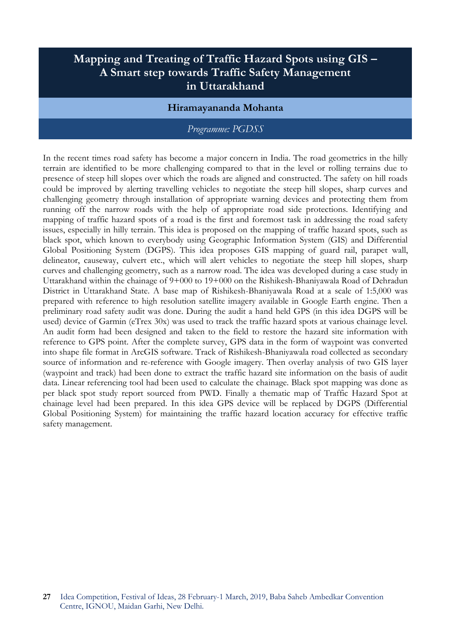# **Mapping and Treating of Traffic Hazard Spots using GIS – A Smart step towards Traffic Safety Management in Uttarakhand**

#### **Hiramayananda Mohanta**

#### *Programme: PGDSS*

In the recent times road safety has become a major concern in India. The road geometrics in the hilly terrain are identified to be more challenging compared to that in the level or rolling terrains due to presence of steep hill slopes over which the roads are aligned and constructed. The safety on hill roads could be improved by alerting travelling vehicles to negotiate the steep hill slopes, sharp curves and challenging geometry through installation of appropriate warning devices and protecting them from running off the narrow roads with the help of appropriate road side protections. Identifying and mapping of traffic hazard spots of a road is the first and foremost task in addressing the road safety issues, especially in hilly terrain. This idea is proposed on the mapping of traffic hazard spots, such as black spot, which known to everybody using Geographic Information System (GIS) and Differential Global Positioning System (DGPS). This idea proposes GIS mapping of guard rail, parapet wall, delineator, causeway, culvert etc., which will alert vehicles to negotiate the steep hill slopes, sharp curves and challenging geometry, such as a narrow road. The idea was developed during a case study in Uttarakhand within the chainage of 9+000 to 19+000 on the Rishikesh-Bhaniyawala Road of Dehradun District in Uttarakhand State. A base map of Rishikesh-Bhaniyawala Road at a scale of 1:5,000 was prepared with reference to high resolution satellite imagery available in Google Earth engine. Then a preliminary road safety audit was done. During the audit a hand held GPS (in this idea DGPS will be used) device of Garmin (eTrex 30x) was used to track the traffic hazard spots at various chainage level. An audit form had been designed and taken to the field to restore the hazard site information with reference to GPS point. After the complete survey, GPS data in the form of waypoint was converted into shape file format in ArcGIS software. Track of Rishikesh-Bhaniyawala road collected as secondary source of information and re-reference with Google imagery. Then overlay analysis of two GIS layer (waypoint and track) had been done to extract the traffic hazard site information on the basis of audit data. Linear referencing tool had been used to calculate the chainage. Black spot mapping was done as per black spot study report sourced from PWD. Finally a thematic map of Traffic Hazard Spot at chainage level had been prepared. In this idea GPS device will be replaced by DGPS (Differential Global Positioning System) for maintaining the traffic hazard location accuracy for effective traffic safety management.

**<sup>27</sup>** Idea Competition, Festival of Ideas, 28 February-1 March, 2019, Baba Saheb Ambedkar Convention Centre, IGNOU, Maidan Garhi, New Delhi.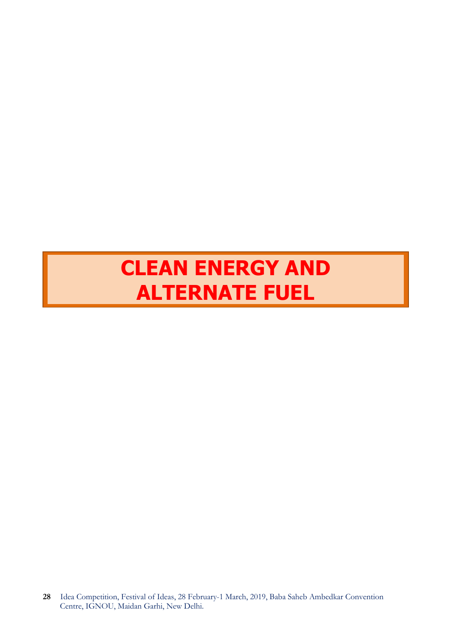# **CLEAN ENERGY AND ALTERNATE FUEL**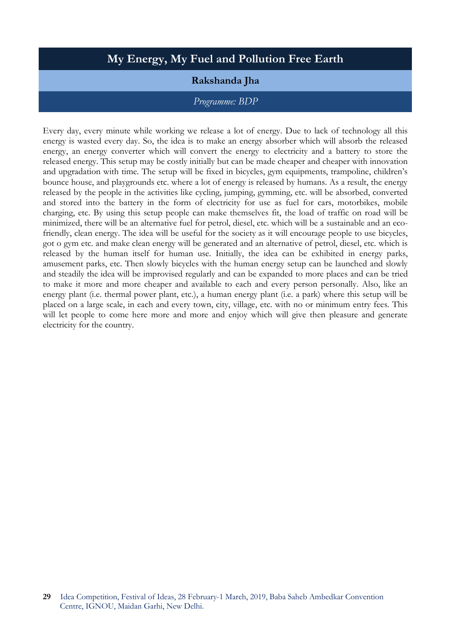# **My Energy, My Fuel and Pollution Free Earth**

# **Rakshanda Jha**

#### *Programme: BDP*

Every day, every minute while working we release a lot of energy. Due to lack of technology all this energy is wasted every day. So, the idea is to make an energy absorber which will absorb the released energy, an energy converter which will convert the energy to electricity and a battery to store the released energy. This setup may be costly initially but can be made cheaper and cheaper with innovation and upgradation with time. The setup will be fixed in bicycles, gym equipments, trampoline, children's bounce house, and playgrounds etc. where a lot of energy is released by humans. As a result, the energy released by the people in the activities like cycling, jumping, gymming, etc. will be absorbed, converted and stored into the battery in the form of electricity for use as fuel for cars, motorbikes, mobile charging, etc. By using this setup people can make themselves fit, the load of traffic on road will be minimized, there will be an alternative fuel for petrol, diesel, etc. which will be a sustainable and an ecofriendly, clean energy. The idea will be useful for the society as it will encourage people to use bicycles, got o gym etc. and make clean energy will be generated and an alternative of petrol, diesel, etc. which is released by the human itself for human use. Initially, the idea can be exhibited in energy parks, amusement parks, etc. Then slowly bicycles with the human energy setup can be launched and slowly and steadily the idea will be improvised regularly and can be expanded to more places and can be tried to make it more and more cheaper and available to each and every person personally. Also, like an energy plant (i.e. thermal power plant, etc.), a human energy plant (i.e. a park) where this setup will be placed on a large scale, in each and every town, city, village, etc. with no or minimum entry fees. This will let people to come here more and more and enjoy which will give then pleasure and generate electricity for the country.

**<sup>29</sup>** Idea Competition, Festival of Ideas, 28 February-1 March, 2019, Baba Saheb Ambedkar Convention Centre, IGNOU, Maidan Garhi, New Delhi.